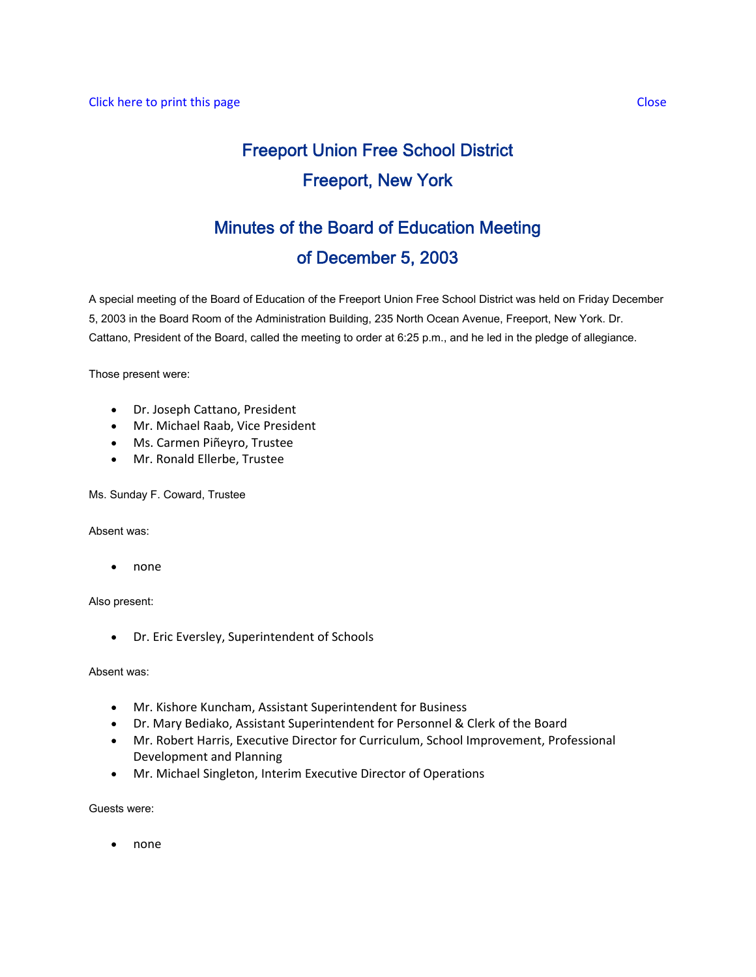# Freeport Union Free School District Freeport, New York

## Minutes of the Board of Education Meeting of December 5, 2003

A special meeting of the Board of Education of the Freeport Union Free School District was held on Friday December 5, 2003 in the Board Room of the Administration Building, 235 North Ocean Avenue, Freeport, New York. Dr. Cattano, President of the Board, called the meeting to order at 6:25 p.m., and he led in the pledge of allegiance.

Those present were:

- Dr. Joseph Cattano, President
- Mr. Michael Raab, Vice President
- Ms. Carmen Piñeyro, Trustee
- Mr. Ronald Ellerbe, Trustee

Ms. Sunday F. Coward, Trustee

Absent was:

• none

Also present:

• Dr. Eric Eversley, Superintendent of Schools

Absent was:

- Mr. Kishore Kuncham, Assistant Superintendent for Business
- Dr. Mary Bediako, Assistant Superintendent for Personnel & Clerk of the Board
- Mr. Robert Harris, Executive Director for Curriculum, School Improvement, Professional Development and Planning
- Mr. Michael Singleton, Interim Executive Director of Operations

Guests were:

• none